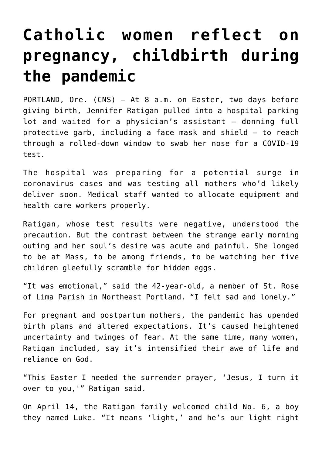## **[Catholic women reflect on](https://www.osvnews.com/amp/2020/04/30/catholic-women-reflect-on-pregnancy-childbirth-during-the-pandemic/) [pregnancy, childbirth during](https://www.osvnews.com/amp/2020/04/30/catholic-women-reflect-on-pregnancy-childbirth-during-the-pandemic/) [the pandemic](https://www.osvnews.com/amp/2020/04/30/catholic-women-reflect-on-pregnancy-childbirth-during-the-pandemic/)**

PORTLAND, Ore. (CNS) — At 8 a.m. on Easter, two days before giving birth, Jennifer Ratigan pulled into a hospital parking lot and waited for a physician's assistant — donning full protective garb, including a face mask and shield — to reach through a rolled-down window to swab her nose for a COVID-19 test.

The hospital was preparing for a potential surge in coronavirus cases and was testing all mothers who'd likely deliver soon. Medical staff wanted to allocate equipment and health care workers properly.

Ratigan, whose test results were negative, understood the precaution. But the contrast between the strange early morning outing and her soul's desire was acute and painful. She longed to be at Mass, to be among friends, to be watching her five children gleefully scramble for hidden eggs.

"It was emotional," said the 42-year-old, a member of St. Rose of Lima Parish in Northeast Portland. "I felt sad and lonely."

For pregnant and postpartum mothers, the pandemic has upended birth plans and altered expectations. It's caused heightened uncertainty and twinges of fear. At the same time, many women, Ratigan included, say it's intensified their awe of life and reliance on God.

"This Easter I needed the surrender prayer, 'Jesus, I turn it over to you,'" Ratigan said.

On April 14, the Ratigan family welcomed child No. 6, a boy they named Luke. "It means 'light,' and he's our light right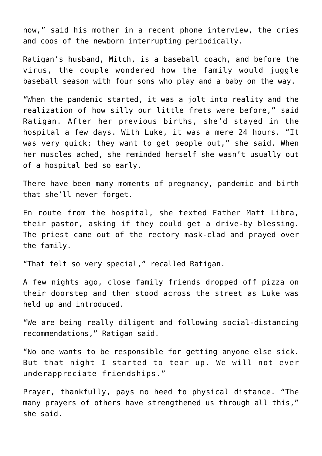now," said his mother in a recent phone interview, the cries and coos of the newborn interrupting periodically.

Ratigan's husband, Mitch, is a baseball coach, and before the virus, the couple wondered how the family would juggle baseball season with four sons who play and a baby on the way.

"When the pandemic started, it was a jolt into reality and the realization of how silly our little frets were before," said Ratigan. After her previous births, she'd stayed in the hospital a few days. With Luke, it was a mere 24 hours. "It was very quick; they want to get people out," she said. When her muscles ached, she reminded herself she wasn't usually out of a hospital bed so early.

There have been many moments of pregnancy, pandemic and birth that she'll never forget.

En route from the hospital, she texted Father Matt Libra, their pastor, asking if they could get a drive-by blessing. The priest came out of the rectory mask-clad and prayed over the family.

"That felt so very special," recalled Ratigan.

A few nights ago, close family friends dropped off pizza on their doorstep and then stood across the street as Luke was held up and introduced.

"We are being really diligent and following social-distancing recommendations," Ratigan said.

"No one wants to be responsible for getting anyone else sick. But that night I started to tear up. We will not ever underappreciate friendships."

Prayer, thankfully, pays no heed to physical distance. "The many prayers of others have strengthened us through all this," she said.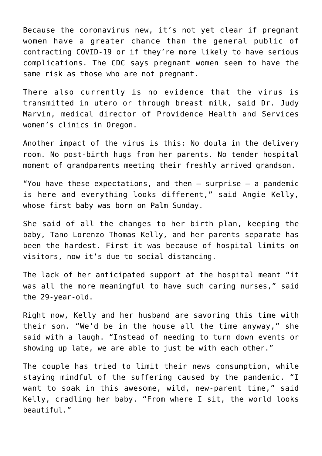Because the coronavirus new, it's not yet clear if pregnant women have a greater chance than the general public of contracting COVID-19 or if they're more likely to have serious complications. The CDC says pregnant women seem to have the same risk as those who are not pregnant.

There also currently is no evidence that the virus is transmitted in utero or through breast milk, said Dr. Judy Marvin, medical director of Providence Health and Services women's clinics in Oregon.

Another impact of the virus is this: No doula in the delivery room. No post-birth hugs from her parents. No tender hospital moment of grandparents meeting their freshly arrived grandson.

"You have these expectations, and then  $-$  surprise  $-$  a pandemic is here and everything looks different," said Angie Kelly, whose first baby was born on Palm Sunday.

She said of all the changes to her birth plan, keeping the baby, Tano Lorenzo Thomas Kelly, and her parents separate has been the hardest. First it was because of hospital limits on visitors, now it's due to social distancing.

The lack of her anticipated support at the hospital meant "it was all the more meaningful to have such caring nurses," said the 29-year-old.

Right now, Kelly and her husband are savoring this time with their son. "We'd be in the house all the time anyway," she said with a laugh. "Instead of needing to turn down events or showing up late, we are able to just be with each other."

The couple has tried to limit their news consumption, while staying mindful of the suffering caused by the pandemic. "I want to soak in this awesome, wild, new-parent time," said Kelly, cradling her baby. "From where I sit, the world looks beautiful."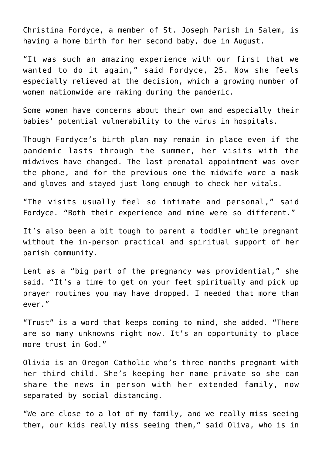Christina Fordyce, a member of St. Joseph Parish in Salem, is having a home birth for her second baby, due in August.

"It was such an amazing experience with our first that we wanted to do it again," said Fordyce, 25. Now she feels especially relieved at the decision, which a growing number of women nationwide are making during the pandemic.

Some women have concerns about their own and especially their babies' potential vulnerability to the virus in hospitals.

Though Fordyce's birth plan may remain in place even if the pandemic lasts through the summer, her visits with the midwives have changed. The last prenatal appointment was over the phone, and for the previous one the midwife wore a mask and gloves and stayed just long enough to check her vitals.

"The visits usually feel so intimate and personal," said Fordyce. "Both their experience and mine were so different."

It's also been a bit tough to parent a toddler while pregnant without the in-person practical and spiritual support of her parish community.

Lent as a "big part of the pregnancy was providential," she said. "It's a time to get on your feet spiritually and pick up prayer routines you may have dropped. I needed that more than ever."

"Trust" is a word that keeps coming to mind, she added. "There are so many unknowns right now. It's an opportunity to place more trust in God."

Olivia is an Oregon Catholic who's three months pregnant with her third child. She's keeping her name private so she can share the news in person with her extended family, now separated by social distancing.

"We are close to a lot of my family, and we really miss seeing them, our kids really miss seeing them," said Oliva, who is in